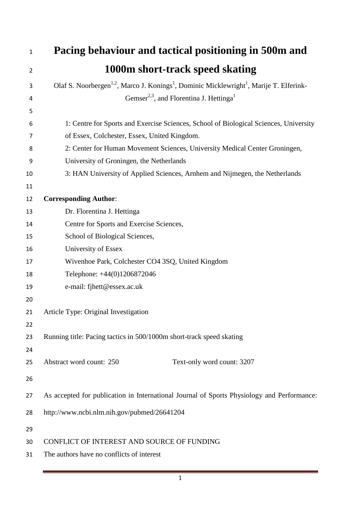| Pacing behaviour and tactical positioning in 500m and                                                                       |
|-----------------------------------------------------------------------------------------------------------------------------|
| 1000m short-track speed skating                                                                                             |
| Olaf S. Noorbergen <sup>1,2</sup> , Marco J. Konings <sup>1</sup> , Dominic Micklewright <sup>1</sup> , Marije T. Elferink- |
| Gemser <sup>2,3</sup> , and Florentina J. Hettinga <sup>1</sup>                                                             |
|                                                                                                                             |
| 1: Centre for Sports and Exercise Sciences, School of Biological Sciences, University                                       |
| of Essex, Colchester, Essex, United Kingdom.                                                                                |
| 2: Center for Human Movement Sciences, University Medical Center Groningen,                                                 |
| University of Groningen, the Netherlands                                                                                    |
| 3: HAN University of Applied Sciences, Arnhem and Nijmegen, the Netherlands                                                 |
|                                                                                                                             |
| <b>Corresponding Author:</b>                                                                                                |
| Dr. Florentina J. Hettinga                                                                                                  |
| Centre for Sports and Exercise Sciences,                                                                                    |
| School of Biological Sciences,                                                                                              |
| University of Essex                                                                                                         |
| Wivenhoe Park, Colchester CO4 3SQ, United Kingdom                                                                           |
| Telephone: +44(0)1206872046                                                                                                 |
| e-mail: fjhett@essex.ac.uk                                                                                                  |
|                                                                                                                             |
| Article Type: Original Investigation                                                                                        |
|                                                                                                                             |
| Running title: Pacing tactics in 500/1000m short-track speed skating                                                        |
|                                                                                                                             |
| Abstract word count: 250<br>Text-only word count: 3207                                                                      |
|                                                                                                                             |
| As accepted for publication in International Journal of Sports Physiology and Performance:                                  |
| http://www.ncbi.nlm.nih.gov/pubmed/26641204                                                                                 |
|                                                                                                                             |
| CONFLICT OF INTEREST AND SOURCE OF FUNDING                                                                                  |
| The authors have no conflicts of interest                                                                                   |
|                                                                                                                             |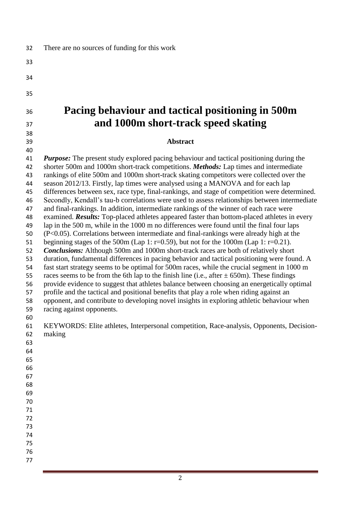| 32       | There are no sources of funding for this work                                                                                                                                |
|----------|------------------------------------------------------------------------------------------------------------------------------------------------------------------------------|
| 33       |                                                                                                                                                                              |
| 34       |                                                                                                                                                                              |
| 35       |                                                                                                                                                                              |
| 36       | Pacing behaviour and tactical positioning in 500m                                                                                                                            |
| 37       | and 1000m short-track speed skating                                                                                                                                          |
| 38       |                                                                                                                                                                              |
| 39       | <b>Abstract</b>                                                                                                                                                              |
| 40       |                                                                                                                                                                              |
| 41       | <b>Purpose:</b> The present study explored pacing behaviour and tactical positioning during the                                                                              |
| 42       | shorter 500m and 1000m short-track competitions. Methods: Lap times and intermediate                                                                                         |
| 43<br>44 | rankings of elite 500m and 1000m short-track skating competitors were collected over the<br>season 2012/13. Firstly, lap times were analysed using a MANOVA and for each lap |
| 45       | differences between sex, race type, final-rankings, and stage of competition were determined.                                                                                |
| 46       | Secondly, Kendall's tau-b correlations were used to assess relationships between intermediate                                                                                |
| 47       | and final-rankings. In addition, intermediate rankings of the winner of each race were                                                                                       |
| 48       | examined. <b>Results:</b> Top-placed athletes appeared faster than bottom-placed athletes in every                                                                           |
| 49       | lap in the 500 m, while in the 1000 m no differences were found until the final four laps                                                                                    |
| 50       | $(P<0.05)$ . Correlations between intermediate and final-rankings were already high at the                                                                                   |
| 51       | beginning stages of the 500m (Lap 1: r=0.59), but not for the 1000m (Lap 1: r=0.21).                                                                                         |
| 52       | <b>Conclusions:</b> Although 500m and 1000m short-track races are both of relatively short                                                                                   |
| 53       | duration, fundamental differences in pacing behavior and tactical positioning were found. A                                                                                  |
| 54       | fast start strategy seems to be optimal for 500m races, while the crucial segment in 1000 m                                                                                  |
| 55       | races seems to be from the 6th lap to the finish line (i.e., after $\pm$ 650m). These findings                                                                               |
| 56       | provide evidence to suggest that athletes balance between choosing an energetically optimal                                                                                  |
| 57       | profile and the tactical and positional benefits that play a role when riding against an                                                                                     |
| 58       | opponent, and contribute to developing novel insights in exploring athletic behaviour when                                                                                   |
| 59       | racing against opponents.                                                                                                                                                    |
| 60<br>61 | KEYWORDS: Elite athletes, Interpersonal competition, Race-analysis, Opponents, Decision-                                                                                     |
| 62       | making                                                                                                                                                                       |
| 63       |                                                                                                                                                                              |
| 64       |                                                                                                                                                                              |
| 65       |                                                                                                                                                                              |
| 66       |                                                                                                                                                                              |
| 67       |                                                                                                                                                                              |
| 68       |                                                                                                                                                                              |
| 69       |                                                                                                                                                                              |
| 70       |                                                                                                                                                                              |
| 71       |                                                                                                                                                                              |
| 72       |                                                                                                                                                                              |
| 73       |                                                                                                                                                                              |
| 74       |                                                                                                                                                                              |
| 75       |                                                                                                                                                                              |
| 76       |                                                                                                                                                                              |
| 77       |                                                                                                                                                                              |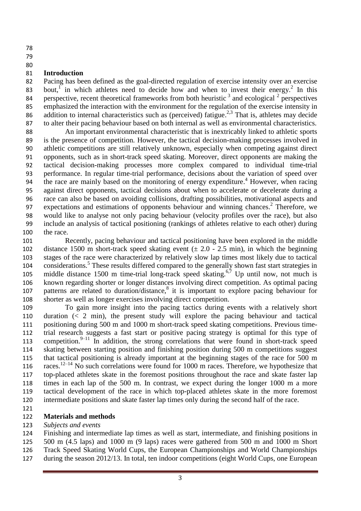- 
- 
- 

### **Introduction**

 Pacing has been defined as the goal-directed regulation of exercise intensity over an exercise 83 bout,<sup>1</sup> in which athletes need to decide how and when to invest their energy.<sup>2</sup> In this 84 perspective, recent theoretical frameworks from both heuristic  $\frac{3}{3}$  and ecological  $\frac{2}{3}$  perspectives 85 emphasized the interaction with the environment for the regulation of the exercise intensity in 86 addition to internal characteristics such as (perceived) fatigue.<sup>2,3</sup> That is, athletes may decide to alter their pacing behaviour based on both internal as well as environmental characteristics.

 An important environmental characteristic that is inextricably linked to athletic sports is the presence of competition. However, the tactical decision-making processes involved in athletic competitions are still relatively unknown, especially when competing against direct opponents, such as in short-track speed skating. Moreover, direct opponents are making the tactical decision-making processes more complex compared to individual time-trial performance. In regular time-trial performance, decisions about the variation of speed over 94 the race are mainly based on the monitoring of energy expenditure.<sup>4</sup> However, when racing against direct opponents, tactical decisions about when to accelerate or decelerate during a race can also be based on avoiding collisions, drafting possibilities, motivational aspects and 97 expectations and estimations of opponents behaviour and winning chances.<sup>2</sup> Therefore, we would like to analyse not only pacing behaviour (velocity profiles over the race), but also include an analysis of tactical positioning (rankings of athletes relative to each other) during the race.

 Recently, pacing behaviour and tactical positioning have been explored in the middle 102 distance 1500 m short-track speed skating event  $(\pm 2.0 - 2.5 \text{ min})$ , in which the beginning stages of the race were characterized by relatively slow lap times most likely due to tactical 104 considerations.<sup>5</sup> These results differed compared to the generally shown fast start strategies in 105 middle distance 1500 m time-trial long-track speed skating.<sup>6,7</sup> Up until now, not much is known regarding shorter or longer distances involving direct competition. As optimal pacing 107 patterns are related to duration/distance,<sup>8</sup> it is important to explore pacing behaviour for shorter as well as longer exercises involving direct competition.

 To gain more insight into the pacing tactics during events with a relatively short duration (< 2 min), the present study will explore the pacing behaviour and tactical positioning during 500 m and 1000 m short-track speed skating competitions. Previous time- trial research suggests a fast start or positive pacing strategy is optimal for this type of 113 competition.<sup>9-11</sup> In addition, the strong correlations that were found in short-track speed skating between starting position and finishing position during 500 m competitions suggest that tactical positioning is already important at the beginning stages of the race for 500 m 116 races.<sup>12-14</sup> No such correlations were found for 1000 m races. Therefore, we hypothesize that top-placed athletes skate in the foremost positions throughout the race and skate faster lap times in each lap of the 500 m. In contrast, we expect during the longer 1000 m a more tactical development of the race in which top-placed athletes skate in the more foremost intermediate positions and skate faster lap times only during the second half of the race.

# **Materials and methods**

### *Subjects and events*

 Finishing and intermediate lap times as well as start, intermediate, and finishing positions in 500 m (4.5 laps) and 1000 m (9 laps) races were gathered from 500 m and 1000 m Short

- Track Speed Skating World Cups, the European Championships and World Championships
- during the season 2012/13. In total, ten indoor competitions (eight World Cups, one European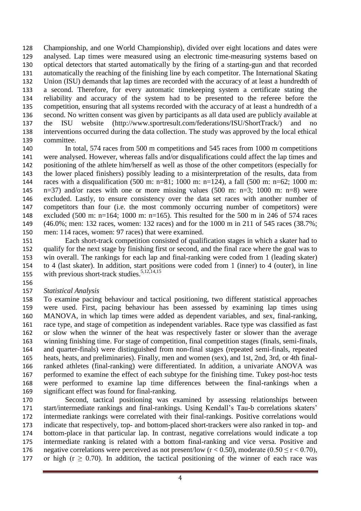Championship, and one World Championship), divided over eight locations and dates were analysed. Lap times were measured using an electronic time-measuring systems based on optical detectors that started automatically by the firing of a starting-gun and that recorded automatically the reaching of the finishing line by each competitor. The International Skating Union (ISU) demands that lap times are recorded with the accuracy of at least a hundredth of a second. Therefore, for every automatic timekeeping system a certificate stating the reliability and accuracy of the system had to be presented to the referee before the competition, ensuring that all systems recorded with the accuracy of at least a hundredth of a second. No written consent was given by participants as all data used are publicly available at the ISU website (http://www.sportresult.com/federations/ISU/ShortTrack/) and no interventions occurred during the data collection. The study was approved by the local ethical committee.

 In total, 574 races from 500 m competitions and 545 races from 1000 m competitions were analysed. However, whereas falls and/or disqualifications could affect the lap times and positioning of the athlete him/herself as well as those of the other competitors (especially for the lower placed finishers) possibly leading to a misinterpretation of the results, data from races with a disqualification (500 m: n=81; 1000 m: n=124), a fall (500 m: n=62; 1000 m: n=37) and/or races with one or more missing values (500 m: n=3; 1000 m: n=8) were excluded. Lastly, to ensure consistency over the data set races with another number of competitors than four (i.e. the most commonly occurring number of competitors) were excluded (500 m: n=164; 1000 m: n=165). This resulted for the 500 m in 246 of 574 races (46.0%; men: 132 races, women: 132 races) and for the 1000 m in 211 of 545 races (38.7%; men: 114 races, women: 97 races) that were examined.

 Each short-track competition consisted of qualification stages in which a skater had to qualify for the next stage by finishing first or second, and the final race where the goal was to win overall. The rankings for each lap and final-ranking were coded from 1 (leading skater) to 4 (last skater). In addition, start positions were coded from 1 (inner) to 4 (outer), in line 155 with previous short-track studies.<sup>5,12,14,15</sup>

- 
- *Statistical Analysis*

 To examine pacing behaviour and tactical positioning, two different statistical approaches were used. First, pacing behaviour has been assessed by examining lap times using MANOVA, in which lap times were added as dependent variables, and sex, final-ranking, race type, and stage of competition as independent variables. Race type was classified as fast or slow when the winner of the heat was respectively faster or slower than the average winning finishing time. For stage of competition, final competition stages (finals, semi-finals, and quarter-finals) were distinguished from non-final stages (repeated semi-finals, repeated heats, heats, and preliminaries). Finally, men and women (sex), and 1st, 2nd, 3rd, or 4th final- ranked athletes (final-ranking) were differentiated. In addition, a univariate ANOVA was performed to examine the effect of each subtype for the finishing time. Tukey post-hoc tests were performed to examine lap time differences between the final-rankings when a significant effect was found for final-ranking.

 Second, tactical positioning was examined by assessing relationships between start/intermediate rankings and final-rankings. Using Kendall's Tau-b correlations skaters' intermediate rankings were correlated with their final-rankings. Positive correlations would indicate that respectively, top- and bottom-placed short-trackers were also ranked in top- and bottom-place in that particular lap. In contrast, negative correlations would indicate a top intermediate ranking is related with a bottom final-ranking and vice versa. Positive and 176 negative correlations were perceived as not present/low  $(r < 0.50)$ , moderate  $(0.50 \le r < 0.70)$ , 177 or high ( $r \geq 0.70$ ). In addition, the tactical positioning of the winner of each race was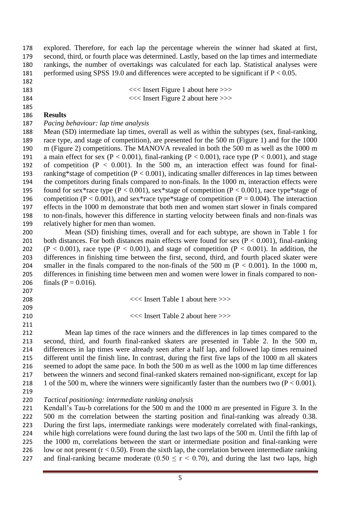explored. Therefore, for each lap the percentage wherein the winner had skated at first, second, third, or fourth place was determined. Lastly, based on the lap times and intermediate rankings, the number of overtakings was calculated for each lap. Statistical analyses were performed using SPSS 19.0 and differences were accepted to be significant if P < 0.05.

- 
- 
- 
- <<< Insert Figure 1 about here >>> <<< Insert Figure 2 about here >>>

#### **Results**

*Pacing behaviour: lap time analysis*

 Mean (SD) intermediate lap times, overall as well as within the subtypes (sex, final-ranking, race type, and stage of competition), are presented for the 500 m (Figure 1) and for the 1000 m (Figure 2) competitions. The MANOVA revealed in both the 500 m as well as the 1000 m 191 a main effect for sex (P < 0.001), final-ranking (P < 0.001), race type (P < 0.001), and stage of competition (P < 0.001). In the 500 m, an interaction effect was found for final- ranking\*stage of competition (P < 0.001), indicating smaller differences in lap times between the competitors during finals compared to non-finals. In the 1000 m, interaction effects were 195 found for sex\*race type ( $P < 0.001$ ), sex\*stage of competition ( $P < 0.001$ ), race type\*stage of 196 competition (P < 0.001), and sex\*race type\*stage of competition (P = 0.004). The interaction effects in the 1000 m demonstrate that both men and women start slower in finals compared to non-finals, however this difference in starting velocity between finals and non-finals was relatively higher for men than women.

 Mean (SD) finishing times, overall and for each subtype, are shown in Table 1 for 201 both distances. For both distances main effects were found for sex  $(P < 0.001)$ , final-ranking 202 (P < 0.001), race type (P < 0.001), and stage of competition (P < 0.001). In addition, the differences in finishing time between the first, second, third, and fourth placed skater were 204 smaller in the finals compared to the non-finals of the 500 m ( $P < 0.001$ ). In the 1000 m, differences in finishing time between men and women were lower in finals compared to non-206 finals ( $P = 0.016$ ).

- <<< Insert Table 1 about here >>>
- 
- <<< Insert Table 2 about here >>>
- 

 Mean lap times of the race winners and the differences in lap times compared to the second, third, and fourth final-ranked skaters are presented in Table 2. In the 500 m, differences in lap times were already seen after a half lap, and followed lap times remained different until the finish line**.** In contrast, during the first five laps of the 1000 m all skaters seemed to adopt the same pace. In both the 500 m as well as the 1000 m lap time differences between the winners and second final-ranked skaters remained non-significant, except for lap 218 1 of the 500 m, where the winners were significantly faster than the numbers two  $(P < 0.001)$ .

*Tactical positioning: intermediate ranking analysis*

 Kendall's Tau-b correlations for the 500 m and the 1000 m are presented in Figure 3. In the 500 m the correlation between the starting position and final-ranking was already 0.38. During the first laps, intermediate rankings were moderately correlated with final-rankings, while high correlations were found during the last two laps of the 500 m. Until the fifth lap of the 1000 m, correlations between the start or intermediate position and final-ranking were 226 low or not present  $(r < 0.50)$ . From the sixth lap, the correlation between intermediate ranking 227 and final-ranking became moderate  $(0.50 \le r \le 0.70)$ , and during the last two laps, high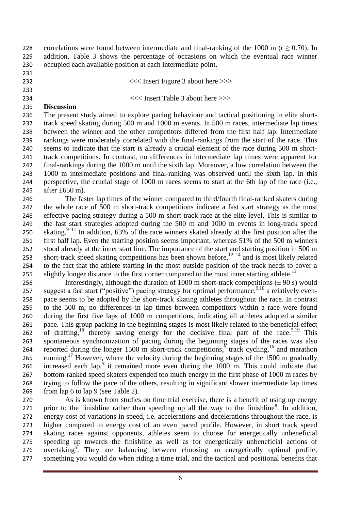228 correlations were found between intermediate and final-ranking of the 1000 m ( $r \ge 0.70$ ). In addition, Table 3 shows the percentage of occasions on which the eventual race winner occupied each available position at each intermediate point.

- 
- <<< Insert Figure 3 about here >>>
- 

<<< Insert Table 3 about here >>>

### **Discussion**

 The present study aimed to explore pacing behaviour and tactical positioning in elite short- track speed skating during 500 m and 1000 m events. In 500 m races, intermediate lap times between the winner and the other competitors differed from the first half lap. Intermediate rankings were moderately correlated with the final-rankings from the start of the race. This seems to indicate that the start is already a crucial element of the race during 500 m short- track competitions. In contrast, no differences in intermediate lap times were apparent for final-rankings during the 1000 m until the sixth lap. Moreover, a low correlation between the 1000 m intermediate positions and final-ranking was observed until the sixth lap. In this perspective, the crucial stage of 1000 m races seems to start at the 6th lap of the race (i.e., 245 after  $\pm 650$  m).

 The faster lap times of the winner compared to third/fourth final-ranked skaters during the whole race of 500 m short-track competitions indicate a fast start strategy as the most effective pacing strategy during a 500 m short-track race at the elite level. This is similar to the fast start strategies adopted during the 500 m and 1000 m events in long-track speed 250 skating.<sup>9-11</sup> In addition, 63% of the race winners skated already at the first position after the first half lap. Even the starting position seems important, whereas 51% of the 500 m winners stood already at the inner start line. The importance of the start and starting position in 500 m 253 short-track speed skating competitions has been shown before, $12-14$  and is most likely related to the fact that the athlete starting in the most outside position of the track needs to cover a 255 slightly longer distance to the first corner compared to the most inner starting athlete.<sup>12</sup>

256 Interestingly, although the duration of 1000 m short-track competitions  $(\pm 90 \text{ s})$  would 257 suggest a fast start ("positive") pacing strategy for optimal performance,<sup>9,10</sup> a relatively even- pace seems to be adopted by the short-track skating athletes throughout the race. In contrast to the 500 m, no differences in lap times between competitors within a race were found during the first five laps of 1000 m competitions, indicating all athletes adopted a similar pace. This group packing in the beginning stages is most likely related to the beneficial effect 262 of drafting,<sup>18</sup> thereby saving energy for the decisive final part of the race.<sup>5,19</sup> This spontaneous synchronization of pacing during the beginning stages of the races was also 264 reported during the longer 1500 m short-track competitions,  $\frac{5}{5}$  track cycling, <sup>16</sup> and marathon 265 running.<sup>17</sup> However, where the velocity during the beginning stages of the 1500 m gradually 266 increased each  $\text{lap}^5$  it remained more even during the 1000 m. This could indicate that bottom-ranked speed skaters expended too much energy in the first phase of 1000 m races by trying to follow the pace of the others, resulting in significant slower intermediate lap times from lap 6 to lap 9 (see Table 2).

 As is known from studies on time trial exercise, there is a benefit of using up energy 271 . prior to the finishline rather than speeding up all the way to the finishline<sup>8</sup>. In addition, energy cost of variations in speed, i.e. accelerations and decelerations throughout the race, is higher compared to energy cost of an even paced profile. However, in short track speed skating races against opponents, athletes seem to choose for energetically unbeneficial speeding up towards the finishline as well as for energetically unbeneficial actions of 276 overtaking<sup>5</sup>. They are balancing between choosing an energetically optimal profile, something you would do when riding a time trial, and the tactical and positional benefits that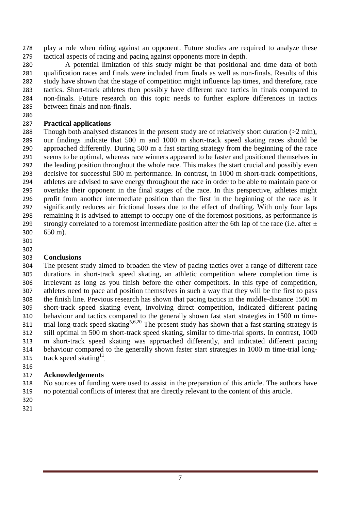play a role when riding against an opponent. Future studies are required to analyze these tactical aspects of racing and pacing against opponents more in depth.

 A potential limitation of this study might be that positional and time data of both qualification races and finals were included from finals as well as non-finals. Results of this study have shown that the stage of competition might influence lap times, and therefore, race tactics. Short-track athletes then possibly have different race tactics in finals compared to non-finals. Future research on this topic needs to further explore differences in tactics between finals and non-finals.

# **Practical applications**

 Though both analysed distances in the present study are of relatively short duration (>2 min), our findings indicate that 500 m and 1000 m short-track speed skating races should be approached differently. During 500 m a fast starting strategy from the beginning of the race seems to be optimal, whereas race winners appeared to be faster and positioned themselves in the leading position throughout the whole race. This makes the start crucial and possibly even decisive for successful 500 m performance. In contrast, in 1000 m short-track competitions, athletes are advised to save energy throughout the race in order to be able to maintain pace or overtake their opponent in the final stages of the race. In this perspective, athletes might profit from another intermediate position than the first in the beginning of the race as it significantly reduces air frictional losses due to the effect of drafting. With only four laps remaining it is advised to attempt to occupy one of the foremost positions, as performance is 299 strongly correlated to a foremost intermediate position after the 6th lap of the race (i.e. after  $\pm$ 650 m).

- 
- 

# **Conclusions**

 The present study aimed to broaden the view of pacing tactics over a range of different race durations in short-track speed skating, an athletic competition where completion time is irrelevant as long as you finish before the other competitors. In this type of competition, athletes need to pace and position themselves in such a way that they will be the first to pass the finish line. Previous research has shown that pacing tactics in the middle-distance 1500 m short-track speed skating event, involving direct competition, indicated different pacing behaviour and tactics compared to the generally shown fast start strategies in 1500 m timetrial long-track speed skating<sup>5,6,20</sup> The present study has shown that a fast starting strategy is still optimal in 500 m short-track speed skating, similar to time-trial sports. In contrast, 1000 m short-track speed skating was approached differently, and indicated different pacing behaviour compared to the generally shown faster start strategies in 1000 m time-trial long-315 track speed skating<sup>11</sup>.

# **Acknowledgements**

 No sources of funding were used to assist in the preparation of this article. The authors have no potential conflicts of interest that are directly relevant to the content of this article.

- 
-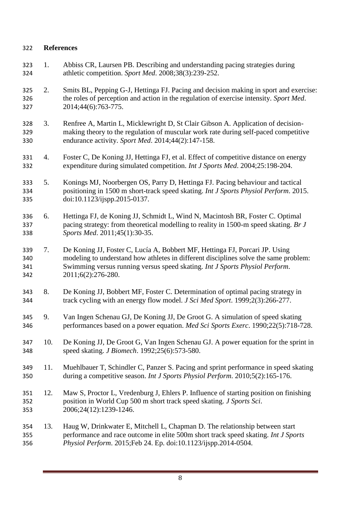## **References**

- 1. Abbiss CR, Laursen PB. Describing and understanding pacing strategies during athletic competition. *Sport Med*. 2008;38(3):239-252.
- 2. Smits BL, Pepping G-J, Hettinga FJ. Pacing and decision making in sport and exercise: the roles of perception and action in the regulation of exercise intensity. *Sport Med*. 2014;44(6):763-775.
- 3. Renfree A, Martin L, Micklewright D, St Clair Gibson A. Application of decision- making theory to the regulation of muscular work rate during self-paced competitive endurance activity. *Sport Med*. 2014;44(2):147-158.
- 4. Foster C, De Koning JJ, Hettinga FJ, et al. Effect of competitive distance on energy expenditure during simulated competition. *Int J Sports Med*. 2004;25:198-204.
- 5. Konings MJ, Noorbergen OS, Parry D, Hettinga FJ. Pacing behaviour and tactical positioning in 1500 m short-track speed skating. *Int J Sports Physiol Perform*. 2015. doi:10.1123/ijspp.2015-0137.
- 6. Hettinga FJ, de Koning JJ, Schmidt L, Wind N, Macintosh BR, Foster C. Optimal pacing strategy: from theoretical modelling to reality in 1500-m speed skating. *Br J Sports Med*. 2011;45(1):30-35.
- 7. De Koning JJ, Foster C, Lucía A, Bobbert MF, Hettinga FJ, Porcari JP. Using modeling to understand how athletes in different disciplines solve the same problem: Swimming versus running versus speed skating. *Int J Sports Physiol Perform*. 2011;6(2):276-280.
- 8. De Koning JJ, Bobbert MF, Foster C. Determination of optimal pacing strategy in track cycling with an energy flow model. *J Sci Med Sport*. 1999;2(3):266-277.
- 9. Van Ingen Schenau GJ, De Koning JJ, De Groot G. A simulation of speed skating performances based on a power equation. *Med Sci Sports Exerc*. 1990;22(5):718-728.
- 10. De Koning JJ, De Groot G, Van Ingen Schenau GJ. A power equation for the sprint in speed skating. *J Biomech*. 1992;25(6):573-580.
- 11. Muehlbauer T, Schindler C, Panzer S. Pacing and sprint performance in speed skating during a competitive season. *Int J Sports Physiol Perform*. 2010;5(2):165-176.
- 12. Maw S, Proctor L, Vredenburg J, Ehlers P. Influence of starting position on finishing position in World Cup 500 m short track speed skating. *J Sports Sci*. 2006;24(12):1239-1246.
- 13. Haug W, Drinkwater E, Mitchell L, Chapman D. The relationship between start performance and race outcome in elite 500m short track speed skating. *Int J Sports Physiol Perform*. 2015;Feb 24. Ep. doi:10.1123/ijspp.2014-0504.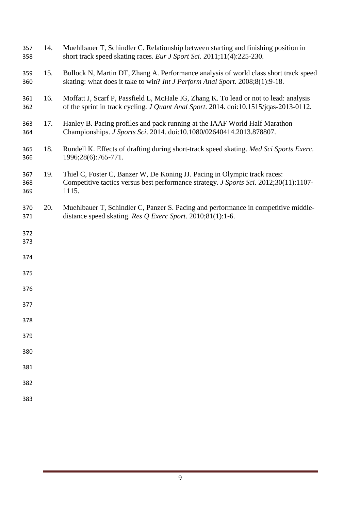| 357<br>358        | 14. | Muehlbauer T, Schindler C. Relationship between starting and finishing position in<br>short track speed skating races. Eur J Sport Sci. 2011;11(4):225-230.                    |
|-------------------|-----|--------------------------------------------------------------------------------------------------------------------------------------------------------------------------------|
| 359<br>360        | 15. | Bullock N, Martin DT, Zhang A. Performance analysis of world class short track speed<br>skating: what does it take to win? Int J Perform Anal Sport. 2008;8(1):9-18.           |
| 361<br>362        | 16. | Moffatt J, Scarf P, Passfield L, McHale IG, Zhang K. To lead or not to lead: analysis<br>of the sprint in track cycling. J Quant Anal Sport. 2014. doi:10.1515/jqas-2013-0112. |
| 363<br>364        | 17. | Hanley B. Pacing profiles and pack running at the IAAF World Half Marathon<br>Championships. J Sports Sci. 2014. doi:10.1080/02640414.2013.878807.                             |
| 365<br>366        | 18. | Rundell K. Effects of drafting during short-track speed skating. Med Sci Sports Exerc.<br>1996;28(6):765-771.                                                                  |
| 367<br>368<br>369 | 19. | Thiel C, Foster C, Banzer W, De Koning JJ. Pacing in Olympic track races:<br>Competitive tactics versus best performance strategy. J Sports Sci. 2012;30(11):1107-<br>1115.    |
| 370<br>371        | 20. | Muehlbauer T, Schindler C, Panzer S. Pacing and performance in competitive middle-<br>distance speed skating. Res $Q$ Exerc Sport. 2010;81(1):1-6.                             |
| 372<br>373        |     |                                                                                                                                                                                |
| 374               |     |                                                                                                                                                                                |
| 375               |     |                                                                                                                                                                                |
| 376               |     |                                                                                                                                                                                |
| 377               |     |                                                                                                                                                                                |
| 378               |     |                                                                                                                                                                                |
| 379               |     |                                                                                                                                                                                |
| 380               |     |                                                                                                                                                                                |
| 381               |     |                                                                                                                                                                                |
| 382               |     |                                                                                                                                                                                |
| 383               |     |                                                                                                                                                                                |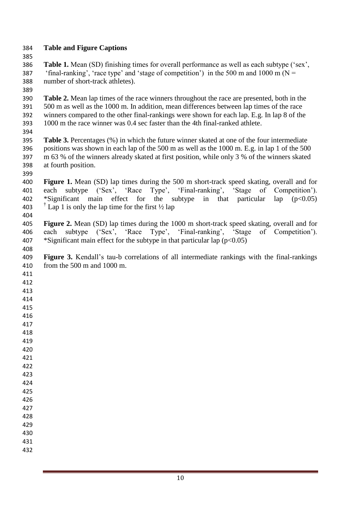**Table and Figure Captions Table 1.** Mean (SD) finishing times for overall performance as well as each subtype ('sex', 387 'final-ranking', 'race type' and 'stage of competition') in the 500 m and 1000 m ( $N =$  number of short-track athletes). **Table 2.** Mean lap times of the race winners throughout the race are presented, both in the 500 m as well as the 1000 m. In addition, mean differences between lap times of the race winners compared to the other final-rankings were shown for each lap. E.g. In lap 8 of the 1000 m the race winner was 0.4 sec faster than the 4th final-ranked athlete. **Table 3.** Percentages (%) in which the future winner skated at one of the four intermediate positions was shown in each lap of the 500 m as well as the 1000 m. E.g. in lap 1 of the 500 m 63 % of the winners already skated at first position, while only 3 % of the winners skated at fourth position. **Figure 1.** Mean (SD) lap times during the 500 m short-track speed skating, overall and for 401 each subtype ('Sex', 'Race Type', 'Final-ranking', 'Stage of Competition').<br>402 \*Significant main effect for the subtype in that particular lap (p<0.05) 402 \*Significant main effect for the subtype in that particular lap  $(p<0.05)$ 403  $\uparrow$  Lap 1 is only the lap time for the first 1/2 lap **Figure 2.** Mean (SD) lap times during the 1000 m short-track speed skating, overall and for each subtype ('Sex', 'Race Type', 'Final-ranking', 'Stage of Competition'). each subtype ('Sex', 'Race Type', 'Final-ranking', 'Stage of Competition'). 407 \*Significant main effect for the subtype in that particular lap  $(p<0.05)$  **Figure 3.** Kendall's tau-b correlations of all intermediate rankings with the final-rankings from the 500 m and 1000 m.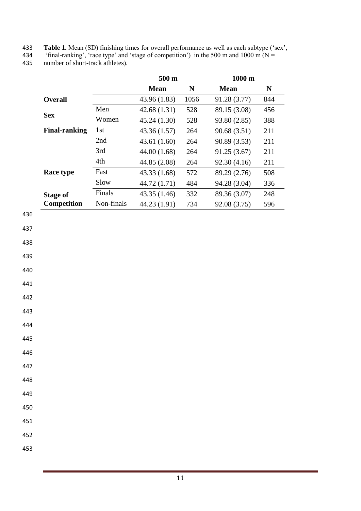433 **Table 1.** Mean (SD) finishing times for overall performance as well as each subtype ('sex',

434 'final-ranking', 'race type' and 'stage of competition') in the 500 m and 1000 m ( $N =$ 

435 number of short-track athletes).

|                      |            | $500 \text{ m}$ |           | $1000 \text{ m}$ |           |
|----------------------|------------|-----------------|-----------|------------------|-----------|
|                      |            | <b>Mean</b>     | ${\bf N}$ | <b>Mean</b>      | ${\bf N}$ |
| <b>Overall</b>       |            | 43.96 (1.83)    | 1056      | 91.28 (3.77)     | 844       |
|                      | Men        | 42.68(1.31)     | 528       | 89.15 (3.08)     | 456       |
| <b>Sex</b>           | Women      | 45.24 (1.30)    | 528       | 93.80 (2.85)     | 388       |
| <b>Final-ranking</b> | 1st        | 43.36 (1.57)    | 264       | 90.68(3.51)      | 211       |
|                      | 2nd        | 43.61 (1.60)    | 264       | 90.89 (3.53)     | 211       |
|                      | 3rd        | 44.00 (1.68)    | 264       | 91.25(3.67)      | 211       |
|                      | 4th        | 44.85 (2.08)    | 264       | 92.30 (4.16)     | 211       |
| Race type            | Fast       | 43.33 (1.68)    | 572       | 89.29 (2.76)     | 508       |
|                      | Slow       | 44.72 (1.71)    | 484       | 94.28 (3.04)     | 336       |
| <b>Stage of</b>      | Finals     | 43.35 (1.46)    | 332       | 89.36 (3.07)     | 248       |
| Competition          | Non-finals | 44.23 (1.91)    | 734       | 92.08 (3.75)     | 596       |
|                      |            |                 |           |                  |           |
|                      |            |                 |           |                  |           |
|                      |            |                 |           |                  |           |
|                      |            |                 |           |                  |           |
|                      |            |                 |           |                  |           |
|                      |            |                 |           |                  |           |
|                      |            |                 |           |                  |           |
|                      |            |                 |           |                  |           |
|                      |            |                 |           |                  |           |
|                      |            |                 |           |                  |           |

446

447

448

449

450 451

452

453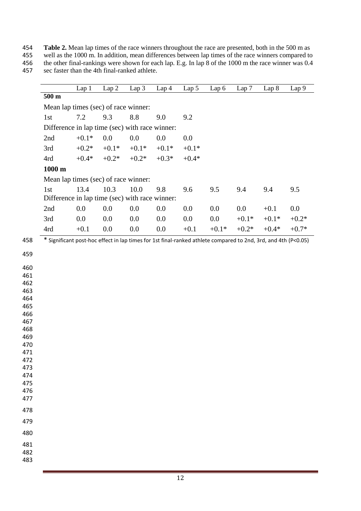**Table 2.** Mean lap times of the race winners throughout the race are presented, both in the 500 m as

 well as the 1000 m. In addition, mean differences between lap times of the race winners compared to 456 the other final-rankings were shown for each lap. E.g. In lap 8 of the 1000 m the race winner was 0.4 sec faster than the 4th final-ranked athlete.

sec faster than the 4th final-ranked athlete.

|            |                                                                                                                | Lap 1   | Lap 2   | Lap 3   | Lap <sub>4</sub> | Lap 5   | Lap 6   | Lap 7   | Lap 8   | Lap 9   |
|------------|----------------------------------------------------------------------------------------------------------------|---------|---------|---------|------------------|---------|---------|---------|---------|---------|
|            | $500 \text{ m}$                                                                                                |         |         |         |                  |         |         |         |         |         |
|            | Mean lap times (sec) of race winner:                                                                           |         |         |         |                  |         |         |         |         |         |
|            | 1st                                                                                                            | 7.2     | 9.3     | 8.8     | 9.0              | 9.2     |         |         |         |         |
|            | Difference in lap time (sec) with race winner:                                                                 |         |         |         |                  |         |         |         |         |         |
|            | 2nd                                                                                                            | $+0.1*$ | 0.0     | 0.0     | 0.0              | 0.0     |         |         |         |         |
|            | 3rd                                                                                                            | $+0.2*$ | $+0.1*$ | $+0.1*$ | $+0.1*$          | $+0.1*$ |         |         |         |         |
|            | 4rd                                                                                                            | $+0.4*$ | $+0.2*$ | $+0.2*$ | $+0.3*$          | $+0.4*$ |         |         |         |         |
|            | $1000 \text{ m}$                                                                                               |         |         |         |                  |         |         |         |         |         |
|            | Mean lap times (sec) of race winner:                                                                           |         |         |         |                  |         |         |         |         |         |
|            | 1st                                                                                                            | 13.4    | 10.3    | 10.0    | 9.8              | 9.6     | 9.5     | 9.4     | 9.4     | 9.5     |
|            | Difference in lap time (sec) with race winner:                                                                 |         |         |         |                  |         |         |         |         |         |
|            | 2nd                                                                                                            | 0.0     | 0.0     | 0.0     | 0.0              | 0.0     | 0.0     | 0.0     | $+0.1$  | 0.0     |
|            | 3rd                                                                                                            | 0.0     | 0.0     | 0.0     | 0.0              | 0.0     | 0.0     | $+0.1*$ | $+0.1*$ | $+0.2*$ |
|            | 4rd                                                                                                            | $+0.1$  | 0.0     | 0.0     | 0.0              | $+0.1$  | $+0.1*$ | $+0.2*$ | $+0.4*$ | $+0.7*$ |
| 458        | * Significant post-hoc effect in lap times for 1st final-ranked athlete compared to 2nd, 3rd, and 4th (P<0.05) |         |         |         |                  |         |         |         |         |         |
| 459        |                                                                                                                |         |         |         |                  |         |         |         |         |         |
|            |                                                                                                                |         |         |         |                  |         |         |         |         |         |
| 460<br>461 |                                                                                                                |         |         |         |                  |         |         |         |         |         |
| 462        |                                                                                                                |         |         |         |                  |         |         |         |         |         |
| 463        |                                                                                                                |         |         |         |                  |         |         |         |         |         |
| 464        |                                                                                                                |         |         |         |                  |         |         |         |         |         |
| 465        |                                                                                                                |         |         |         |                  |         |         |         |         |         |
| 466<br>467 |                                                                                                                |         |         |         |                  |         |         |         |         |         |
| 468        |                                                                                                                |         |         |         |                  |         |         |         |         |         |
| 469        |                                                                                                                |         |         |         |                  |         |         |         |         |         |
| 470        |                                                                                                                |         |         |         |                  |         |         |         |         |         |
| 471        |                                                                                                                |         |         |         |                  |         |         |         |         |         |
| 472        |                                                                                                                |         |         |         |                  |         |         |         |         |         |
| 473<br>474 |                                                                                                                |         |         |         |                  |         |         |         |         |         |
| 475        |                                                                                                                |         |         |         |                  |         |         |         |         |         |
| 476        |                                                                                                                |         |         |         |                  |         |         |         |         |         |
| 477        |                                                                                                                |         |         |         |                  |         |         |         |         |         |
| 478        |                                                                                                                |         |         |         |                  |         |         |         |         |         |
| 479        |                                                                                                                |         |         |         |                  |         |         |         |         |         |
| 480        |                                                                                                                |         |         |         |                  |         |         |         |         |         |
| 481        |                                                                                                                |         |         |         |                  |         |         |         |         |         |
| 482        |                                                                                                                |         |         |         |                  |         |         |         |         |         |
| 483        |                                                                                                                |         |         |         |                  |         |         |         |         |         |